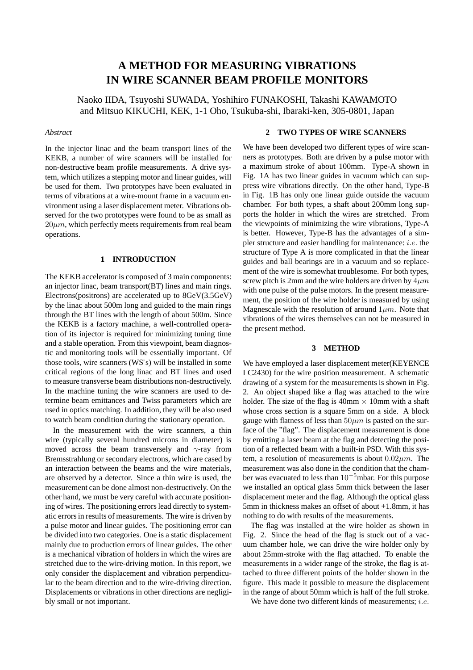# **A METHOD FOR MEASURING VIBRATIONS IN WIRE SCANNER BEAM PROFILE MONITORS**

Naoko IIDA, Tsuyoshi SUWADA, Yoshihiro FUNAKOSHI, Takashi KAWAMOTO and Mitsuo KIKUCHI, KEK, 1-1 Oho, Tsukuba-shi, Ibaraki-ken, 305-0801, Japan

# *Abstract*

In the injector linac and the beam transport lines of the KEKB, a number of wire scanners will be installed for non-destructive beam profile measurements. A drive system, which utilizes a stepping motor and linear guides, will be used for them. Two prototypes have been evaluated in terms of vibrations at a wire-mount frame in a vacuum environment using a laser displacement meter. Vibrations observed for the two prototypes were found to be as small as  $20\mu m$ , which perfectly meets requirements from real beam operations.

#### **1 INTRODUCTION**

The KEKB accelerator is composed of 3 main components: an injector linac, beam transport(BT) lines and main rings. Electrons(positrons) are accelerated up to 8GeV(3.5GeV) by the linac about 500m long and guided to the main rings through the BT lines with the length of about 500m. Since the KEKB is a factory machine, a well-controlled operation of its injector is required for minimizing tuning time and a stable operation. From this viewpoint, beam diagnostic and monitoring tools will be essentially important. Of those tools, wire scanners (WS's) will be installed in some critical regions of the long linac and BT lines and used to measure transverse beam distributions non-destructively. In the machine tuning the wire scanners are used to determine beam emittances and Twiss parameters which are used in optics matching. In addition, they will be also used to watch beam condition during the stationary operation.

In the measurement with the wire scanners, a thin wire (typically several hundred microns in diameter) is moved across the beam transversely and  $\gamma$ -ray from Bremsstrahlung or secondary electrons, which are cased by an interaction between the beams and the wire materials, are observed by a detector. Since a thin wire is used, the measurement can be done almost non-destructively. On the other hand, we must be very careful with accurate positioning of wires. The positioning errors lead directly to systematic errors in results of measurements. The wire is driven by a pulse motor and linear guides. The positioning error can be divided into two categories. One is a static displacement mainly due to production errors of linear guides. The other is a mechanical vibration of holders in which the wires are stretched due to the wire-driving motion. In this report, we only consider the displacement and vibration perpendicular to the beam direction and to the wire-driving direction. Displacements or vibrations in other directions are negligibly small or not important.

#### **2 TWO TYPES OF WIRE SCANNERS**

We have been developed two different types of wire scanners as prototypes. Both are driven by a pulse motor with a maximum stroke of about 100mm. Type-A shown in Fig. 1A has two linear guides in vacuum which can suppress wire vibrations directly. On the other hand, Type-B in Fig. 1B has only one linear guide outside the vacuum chamber. For both types, a shaft about 200mm long supports the holder in which the wires are stretched. From the viewpoints of minimizing the wire vibrations, Type-A is better. However, Type-B has the advantages of a simpler structure and easier handling for maintenance: *i.e.* the structure of Type A is more complicated in that the linear guides and ball bearings are in a vacuum and so replacement of the wire is somewhat troublesome. For both types, screw pitch is 2mm and the wire holders are driven by  $4\mu m$ with one pulse of the pulse motors. In the present measurement, the position of the wire holder is measured by using Magnescale with the resolution of around  $1\mu m$ . Note that vibrations of the wires themselves can not be measured in the present method.

# **3 METHOD**

We have employed a laser displacement meter(KEYENCE LC2430) for the wire position measurement. A schematic drawing of a system for the measurements is shown in Fig. 2. An object shaped like a flag was attached to the wire holder. The size of the flag is  $40 \text{mm} \times 10 \text{mm}$  with a shaft whose cross section is a square 5mm on a side. A block gauge with flatness of less than  $50 \mu m$  is pasted on the surface of the "flag". The displacement measurement is done by emitting a laser beam at the flag and detecting the position of a reflected beam with a built-in PSD. With this system, a resolution of measurements is about  $0.02 \mu m$ . The measurement was also done in the condition that the chamber was evacuated to less than  $10^{-5}$ mbar. For this purpose we installed an optical glass 5mm thick between the laser displacement meter and the flag. Although the optical glass 5mm in thickness makes an offset of about +1.8mm, it has nothing to do with results of the measurements.

The flag was installed at the wire holder as shown in Fig. 2. Since the head of the flag is stuck out of a vacuum chamber hole, we can drive the wire holder only by about 25mm-stroke with the flag attached. To enable the measurements in a wider range of the stroke, the flag is attached to three different points of the holder shown in the figure. This made it possible to measure the displacement in the range of about 50mm which is half of the full stroke.

We have done two different kinds of measurements; *i.e.*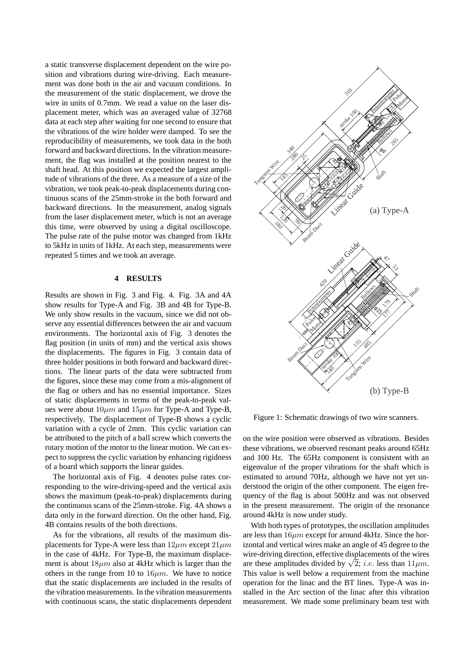a static transverse displacement dependent on the wire position and vibrations during wire-driving. Each measurement was done both in the air and vacuum conditions. In the measurement of the static displacement, we drove the wire in units of 0.7mm. We read a value on the laser displacement meter, which was an averaged value of 32768 data at each step after waiting for one second to ensure that the vibrations of the wire holder were damped. To see the reproducibility of measurements, we took data in the both forward and backward directions. In the vibration measurement, the flag was installed at the position nearest to the shaft head. At this position we expected the largest amplitude of vibrations of the three. As a measure of a size of the vibration, we took peak-to-peak displacements during continuous scans of the 25mm-stroke in the both forward and backward directions. In the measurement, analog signals from the laser displacement meter, which is not an average this time, were observed by using a digital oscilloscope. The pulse rate of the pulse motor was changed from 1kHz to 5kHz in units of 1kHz. At each step, measurements were repeated 5 times and we took an average.

# **4 RESULTS**

Results are shown in Fig. 3 and Fig. 4. Fig. 3A and 4A show results for Type-A and Fig. 3B and 4B for Type-B. We only show results in the vacuum, since we did not observe any essential differences between the air and vacuum environments. The horizontal axis of Fig. 3 denotes the flag position (in units of mm) and the vertical axis shows the displacements. The figures in Fig. 3 contain data of three holder positions in both forward and backward directions. The linear parts of the data were subtracted from the figures, since these may come from a mis-alignment of the flag or others and has no essential importance. Sizes of static displacements in terms of the peak-to-peak values were about  $10 \mu m$  and  $15 \mu m$  for Type-A and Type-B, respectively. The displacement of Type-B shows a cyclic variation with a cycle of 2mm. This cyclic variation can be attributed to the pitch of a ball screw which converts the rotary motion of the motor to the linear motion. We can expect to suppress the cyclic variation by enhancing rigidness of a board which supports the linear guides.

The horizontal axis of Fig. 4 denotes pulse rates corresponding to the wire-driving-speed and the vertical axis shows the maximum (peak-to-peak) displacements during the continuous scans of the 25mm-stroke. Fig. 4A shows a data only in the forward direction. On the other hand, Fig. 4B contains results of the both directions.

As for the vibrations, all results of the maximum displacements for Type-A were less than  $12\mu m$  except  $21\mu m$ in the case of 4kHz. For Type-B, the maximum displacement is about  $18\mu m$  also at 4kHz which is larger than the others in the range from 10 to  $16\mu m$ . We have to notice that the static displacements are included in the results of the vibration measurements. In the vibration measurements with continuous scans, the static displacements dependent



Figure 1: Schematic drawings of two wire scanners.

on the wire position were observed as vibrations. Besides these vibrations, we observed resonant peaks around 65Hz and 100 Hz. The 65Hz component is consistent with an eigenvalue of the proper vibrations for the shaft which is estimated to around 70Hz, although we have not yet understood the origin of the other component. The eigen frequency of the flag is about 500Hz and was not observed in the present measurement. The origin of the resonance around 4kHz is now under study.

With both types of prototypes, the oscillation amplitudes are less than  $16\mu m$  except for around 4kHz. Since the horizontal and vertical wires make an angle of 45 degree to the wire-driving direction, effective displacements of the wires are these amplitudes divided by  $\sqrt{2}$ ; *i.e.* less than  $11 \mu m$ . This value is well below a requirement from the machine operation for the linac and the BT lines. Type-A was installed in the Arc section of the linac after this vibration measurement. We made some preliminary beam test with